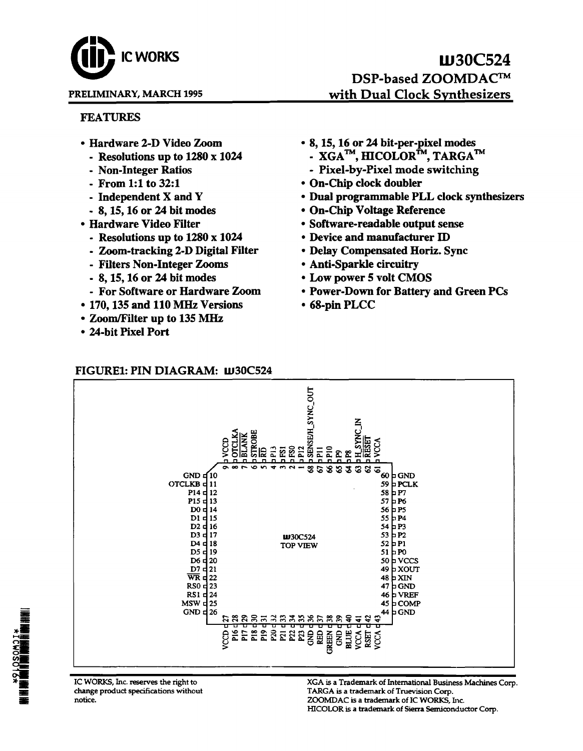# **IC WORKS**

#### PREUMINARY, MARCH 1995

## W30C524 DSP-based ZOOMDAC<sup>™</sup> with Dual Clock Synthesizers

#### FEATURES

- -
	-
	-
	-
	-
- - Resolutions up to 1280 x 1024 Device and manufacturer ID
	- Zoom-tracking 2-D Digital Filter Delay Compensated Horiz. Sync
	- Filters Non-Integer Zooms Anti-Sparkle circuitry
	-
	-
- 170,135 and 110 MHz Versions 68-pin PLCC
- Zoom/Filter up to 135 MHz
- 24-bit Pixel Port
- Hardware 2-D Video Zoom 8, 15, 16 or 24 bit-per-pixel modes
	- Resolutions up to 1280 x 1024  $\qquad \qquad$  XGA<sup>TM</sup>, HICOLOR<sup>TM</sup>, TARGA<sup>TM</sup>
	- Non-Integer Ratios Pixel-by-Pixel mode switching
	- From 1:1 to 32:1 On-Chip clock doubler
	- Independent X and Y Dual programmable PLL clock synthesizers
	- 8, 15, 16 or 24 bit modes On-Chip Voltage Reference
- Hardware Video Filter Software-readable output sense
	-
	-
	-
	- 8, 15, 16 or 24 bit modes Low power 5 volt CMOS
	- For Software or Hardware Zoom Power-Down for Battery and Green PCs
		-

#### FIGURE1: PIN DIAGRAM: W30C524 P12<br>SENSE/H\_SYNC\_OUT ほご ္ဘာ ķ. ~~~~~~~~~~~~~~~~~~~~~ 10 10101O~~~IO~60 GND GND<sub>c</sub> OTCLKB<sub>d11</sub> 11 59  $\mu$  PCLK P<sub>14</sub> d<sub>12</sub> 12 58 p  $P7$  $P15<sub>5</sub>$ 13 57  $\mu$  P6  $D0 d14$ 14 56  $\overline{P}P5$ D1 d 15  $15$   $55 \text{ pP4}$  $D2d16$ 16 54  $p$  P3 D3 d 17  $1030C524$  53 P2<br>
17 TOP VIEW 52 P1 D<sub>4</sub> d<sub>18</sub> **TOP VIEW** D5 d<sub>19</sub>  $51$  po D6 $q$ <sub>20</sub>  $50 b$  VCCS  $D7$  $d21$ 49 **b** XOUT  $\overline{\text{WR}}$  d 22 48 **b** XIN<br>47 **b** GNI **p**GND  $RSO$   $\frac{1}{2}$  23  $RS1$   $\frac{1}{24}$ 24 46 VREF  $MSW = 25$  $45$  D COMP<br> $44$  D GND GND  $\frac{1}{26}$ 28885382825

IC WORKS, Inc. reserves the right to change product specifications without notice.

XGA is a Trademark of International Business Machines Corp . TARGA is a trademark of Truevision Corp. ZOOMDAC is a trademark of IC WORKS, Inc. HICOLOR is a trademark of Sierra Semiconductor Corp.

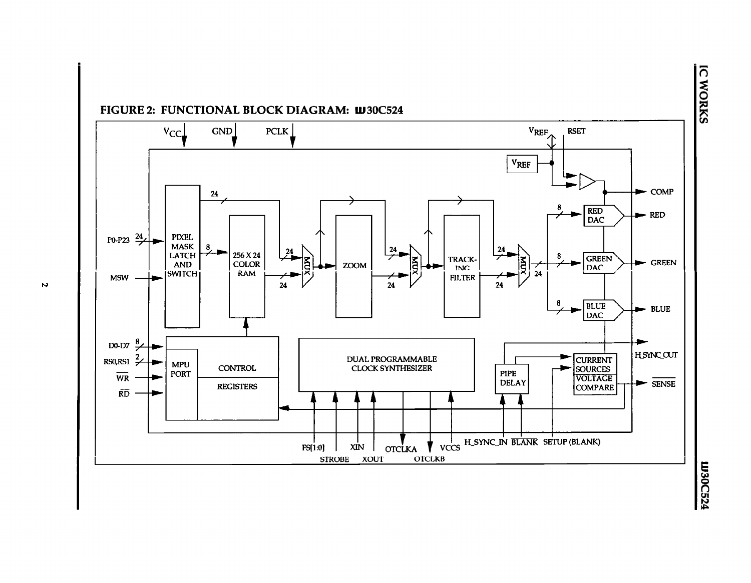

**FIGURE 2: FUNCTIONAL BLOCK DIAGRAM: W30C524** 

n,

<u>.</u>

m30C:  $\ddot{=}$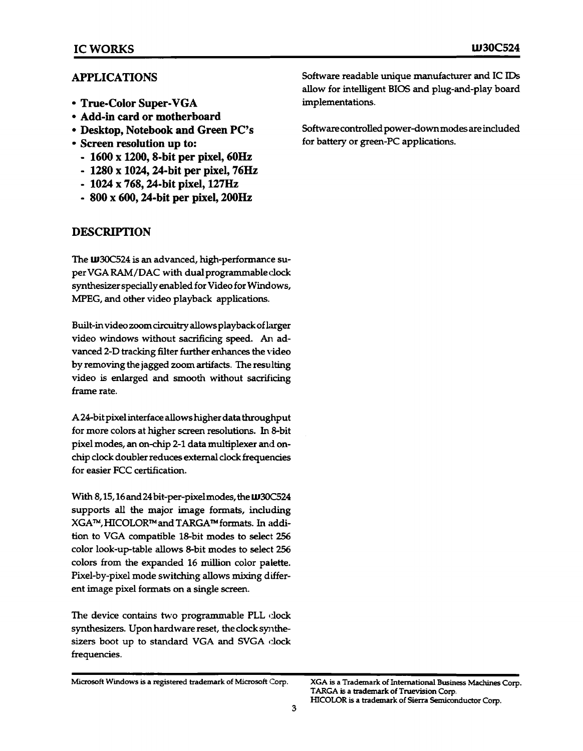#### APPLICATIONS

- True·Color Super· VGA
- Add·in card or motherboard
- Desktop, Notebook and Green PC's
- Screen resolution **up** to:
	- 1600 x 1200, 8·bit per pixel, 60Hz
	- 1280 x 1024, 24·bit per pixel, 76Hz
	- 1024 x 768, 24·bit pixel, 127Hz
	- 800 x 600, 24·bit per pixel, 200Hz

#### DESCRIPTION

The **W30C524** is an advanced, high-performance super VGA RAM/DAC with dual programmable dock synthesizer specially enabled for Video for Windows, MPEG, and other video playback applications.

Built-in video zoom circuitry allows playback oflarger video windows without sacrificing speed. An advanced 2-D tracking filter further enhances the video by removing the jagged zoom artifacts. The resulting video is enlarged and smooth without sacrificing frame rate.

A 24-bit pixel interface allows higher data throughput for more colors at higher screen resolutions. In B-bit pixel modes, an on-chip 2-1 data multiplexer and onchip clock doubler reduces external clock frequencies for easier FCC certification.

With 8,15,16 and 24 bit-per-pixel modes, the LU30C524 supports all the major image formats, including XGA™,HICOLORTMandTARGATMformats. In addition to VGA compatible 1B-bit modes to select 256 color look-up-table allows B-bit modes to select 256 colors from the expanded 16 million color palette. Pixel-by-pixel mode switching allows mixing different image pixel formats on a single screen.

The device contains two programmable PLL clock synthesizers. Upon hardware reset, the clock synthesizers boot up to standard VGA and SVGA clock frequencies.

Software readable unique manufacturer and IC IDs allow for intelligent BIOS and plug-and-play board implementations.

Software controlled power-downmodes are included for battery or green-PC applications.

Microsoft Windows is a registered trademark of Microsoft Corp.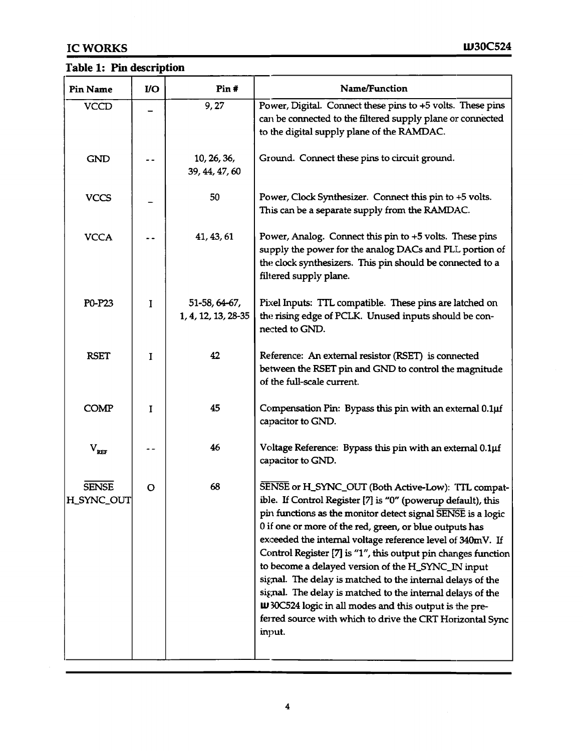## Table 1: Pin description

| <b>Pin Name</b>            | <b>VO</b> | Pin#                                 | Name/Function                                                                                                                                                                                                                                                                                                                                                                                                                                                                                                                                                                                                                                                                                          |
|----------------------------|-----------|--------------------------------------|--------------------------------------------------------------------------------------------------------------------------------------------------------------------------------------------------------------------------------------------------------------------------------------------------------------------------------------------------------------------------------------------------------------------------------------------------------------------------------------------------------------------------------------------------------------------------------------------------------------------------------------------------------------------------------------------------------|
| <b>VCCD</b>                |           | 9,27                                 | Power, Digital. Connect these pins to +5 volts. These pins<br>can be connected to the filtered supply plane or connected<br>to the digital supply plane of the RAMDAC.                                                                                                                                                                                                                                                                                                                                                                                                                                                                                                                                 |
| <b>GND</b>                 |           | 10, 26, 36,<br>39, 44, 47, 60        | Ground. Connect these pins to circuit ground.                                                                                                                                                                                                                                                                                                                                                                                                                                                                                                                                                                                                                                                          |
| <b>VCCS</b>                |           | 50                                   | Power, Clock Synthesizer. Connect this pin to +5 volts.<br>This can be a separate supply from the RAMDAC.                                                                                                                                                                                                                                                                                                                                                                                                                                                                                                                                                                                              |
| <b>VCCA</b>                |           | 41, 43, 61                           | Power, Analog. Connect this pin to +5 volts. These pins<br>supply the power for the analog DACs and PLL portion of<br>the clock synthesizers. This pin should be connected to a<br>filtered supply plane.                                                                                                                                                                                                                                                                                                                                                                                                                                                                                              |
| P0-P23                     | I         | 51-58, 64-67,<br>1, 4, 12, 13, 28-35 | Pixel Inputs: TTL compatible. These pins are latched on<br>the rising edge of PCLK. Unused inputs should be con-<br>nected to GND.                                                                                                                                                                                                                                                                                                                                                                                                                                                                                                                                                                     |
| <b>RSET</b>                | I         | 42                                   | Reference: An external resistor (RSET) is connected<br>between the RSET pin and GND to control the magnitude<br>of the full-scale current.                                                                                                                                                                                                                                                                                                                                                                                                                                                                                                                                                             |
| <b>COMP</b>                | I         | 45                                   | Compensation Pin: Bypass this pin with an external 0.1µf<br>capacitor to GND.                                                                                                                                                                                                                                                                                                                                                                                                                                                                                                                                                                                                                          |
| $V_{REF}$                  |           | 46                                   | Voltage Reference: Bypass this pin with an external 0.1µf<br>capacitor to GND.                                                                                                                                                                                                                                                                                                                                                                                                                                                                                                                                                                                                                         |
| <b>SENSE</b><br>H_SYNC_OUT | O         | 68                                   | SENSE or H_SYNC_OUT (Both Active-Low): TTL compat-<br>ible. If Control Register [7] is "0" (powerup default), this<br>pin functions as the monitor detect signal SENSE is a logic<br>0 if one or more of the red, green, or blue outputs has<br>exceeded the internal voltage reference level of 340mV. If<br>Control Register [7] is "1", this output pin changes function<br>to become a delayed version of the H_SYNC_IN input<br>signal. The delay is matched to the internal delays of the<br>signal. The delay is matched to the internal delays of the<br><b>W</b> 30C524 logic in all modes and this output is the pre-<br>ferred source with which to drive the CRT Horizontal Sync<br>input. |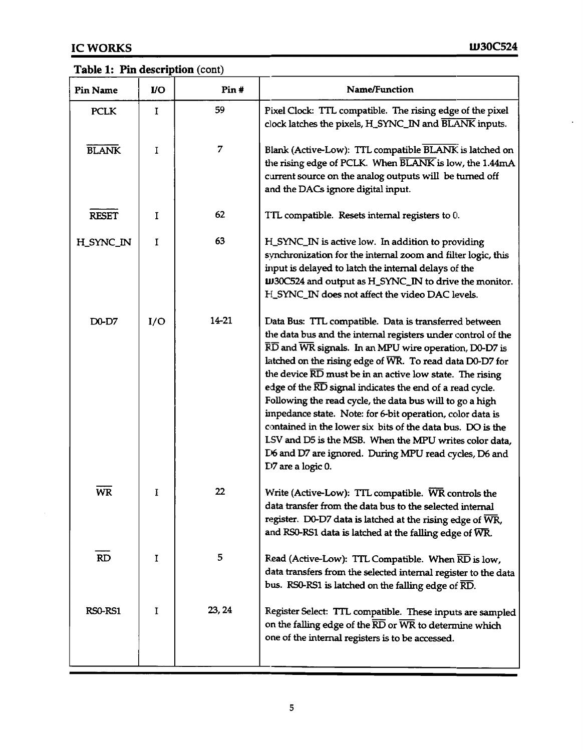$\mathcal{A}^{\mathcal{A}}$ 

## Table 1: Pin description (cont)

| <b>Pin Name</b> | $IO$     | Pin#   | Name/Function                                                                                                                                                                                                                                                                                                                                                                                                                                                                                                                                                                                                                                                                                                                             |
|-----------------|----------|--------|-------------------------------------------------------------------------------------------------------------------------------------------------------------------------------------------------------------------------------------------------------------------------------------------------------------------------------------------------------------------------------------------------------------------------------------------------------------------------------------------------------------------------------------------------------------------------------------------------------------------------------------------------------------------------------------------------------------------------------------------|
| <b>PCLK</b>     | $\bf{I}$ | 59     | Pixel Clock: TTL compatible. The rising edge of the pixel<br>clock latches the pixels, H_SYNC_IN and BLANK inputs.                                                                                                                                                                                                                                                                                                                                                                                                                                                                                                                                                                                                                        |
| <b>BLANK</b>    | T        | 7      | Blank (Active-Low): TTL compatible BLANK is latched on<br>the rising edge of PCLK. When BLANK is low, the 1.44mA<br>current source on the analog outputs will be turned off<br>and the DACs ignore digital input.                                                                                                                                                                                                                                                                                                                                                                                                                                                                                                                         |
| <b>RESET</b>    | 1        | 62     | TTL compatible. Resets internal registers to 0.                                                                                                                                                                                                                                                                                                                                                                                                                                                                                                                                                                                                                                                                                           |
| H_SYNC_IN       | I        | 63     | H_SYNC_IN is active low. In addition to providing<br>synchronization for the internal zoom and filter logic, this<br>input is delayed to latch the internal delays of the<br><b>W30C524</b> and output as H_SYNC_IN to drive the monitor.<br>H_SYNC_IN does not affect the video DAC levels.                                                                                                                                                                                                                                                                                                                                                                                                                                              |
| D0-D7           | I/O      | 14-21  | Data Bus: TTL compatible. Data is transferred between<br>the data bus and the internal registers under control of the<br>$\overline{\text{RD}}$ and $\overline{\text{WR}}$ signals. In an MPU wire operation, D0-D7 is<br>latched on the rising edge of WR. To read data D0-D7 for<br>the device RD must be in an active low state. The rising<br>edge of the RD signal indicates the end of a read cycle.<br>Following the read cycle, the data bus will to go a high<br>impedance state. Note: for 6-bit operation, color data is<br>contained in the lower six bits of the data bus. DO is the<br>LSV and D5 is the MSB. When the MPU writes color data,<br>D6 and D7 are ignored. During MPU read cycles, D6 and<br>D7 are a logic 0. |
| <b>WR</b>       | I        | 22     | Write (Active-Low): TTL compatible. WR controls the<br>data transfer from the data bus to the selected internal<br>register. D0-D7 data is latched at the rising edge of WR,<br>and RS0-RS1 data is latched at the falling edge of WR.                                                                                                                                                                                                                                                                                                                                                                                                                                                                                                    |
| RD              | 1        | 5      | Read (Active-Low): TTL Compatible. When $\overline{\text{RD}}$ is low,<br>data transfers from the selected internal register to the data<br>bus. RS0-RS1 is latched on the falling edge of $\overline{\text{RD}}$ .                                                                                                                                                                                                                                                                                                                                                                                                                                                                                                                       |
| RS0-RS1         | 1        | 23, 24 | Register Select: TTL compatible. These inputs are sampled<br>on the falling edge of the RD or WR to determine which<br>one of the internal registers is to be accessed.                                                                                                                                                                                                                                                                                                                                                                                                                                                                                                                                                                   |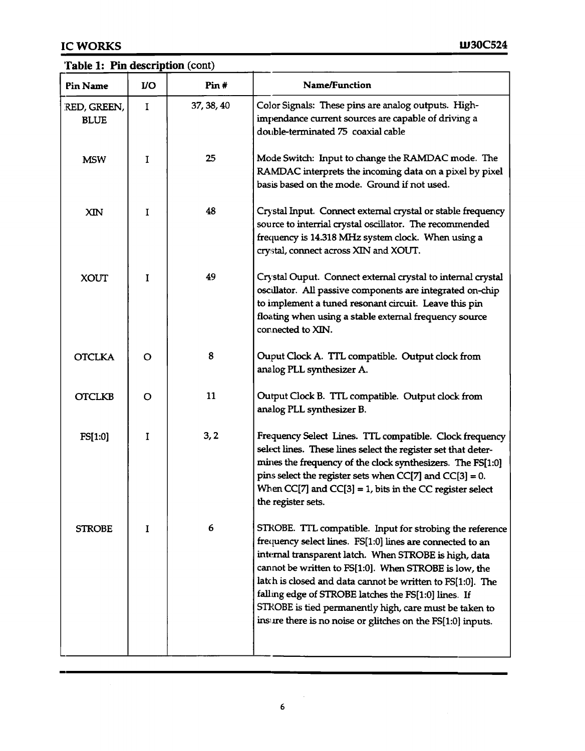#### Table 1: Pin description (cont)

| <b>Pin Name</b>            | <b>VO</b> | Pin#       | Name/Function                                                                                                                                                                                                                                                                                                                                                                                                                                                                          |
|----------------------------|-----------|------------|----------------------------------------------------------------------------------------------------------------------------------------------------------------------------------------------------------------------------------------------------------------------------------------------------------------------------------------------------------------------------------------------------------------------------------------------------------------------------------------|
| RED, GREEN,<br><b>BLUE</b> | I         | 37, 38, 40 | Color Signals: These pins are analog outputs. High-<br>impendance current sources are capable of driving a<br>double-terminated 75 coaxial cable                                                                                                                                                                                                                                                                                                                                       |
| <b>MSW</b>                 | I         | 25         | Mode Switch: Input to change the RAMDAC mode. The<br>RAMDAC interprets the incoming data on a pixel by pixel<br>basis based on the mode. Ground if not used.                                                                                                                                                                                                                                                                                                                           |
| XIN                        | I         | 48         | Crystal Input. Connect external crystal or stable frequency<br>source to interrial crystal oscillator. The recommended<br>frequency is 14.318 MHz system clock. When using a<br>crystal, connect across XIN and XOUT.                                                                                                                                                                                                                                                                  |
| <b>XOUT</b>                | I         | 49         | Crystal Ouput. Connect external crystal to internal crystal<br>oscillator. All passive components are integrated on-chip<br>to implement a tuned resonant circuit. Leave this pin<br>floating when using a stable external frequency source<br>connected to XIN.                                                                                                                                                                                                                       |
| <b>OTCLKA</b>              | $\circ$   | 8          | Ouput Clock A. TTL compatible. Output clock from<br>analog PLL synthesizer A.                                                                                                                                                                                                                                                                                                                                                                                                          |
| <b>OTCLKB</b>              | O         | 11         | Output Clock B. TTL compatible. Output clock from<br>analog PLL synthesizer B.                                                                                                                                                                                                                                                                                                                                                                                                         |
| FS[1:0]                    | I         | 3, 2       | Frequency Select Lines. TTL compatible. Clock frequency<br>select lines. These lines select the register set that deter-<br>mines the frequency of the clock synthesizers. The FS[1:0]<br>pins select the register sets when $CC[7]$ and $CC[3] = 0$ .<br>When $CC[7]$ and $CC[3] = 1$ , bits in the CC register select<br>the register sets.                                                                                                                                          |
| <b>STROBE</b>              | I         | 6          | STROBE. TTL compatible. Input for strobing the reference<br>frequency select lines. FS[1:0] lines are connected to an<br>internal transparent latch. When STROBE is high, data<br>cannot be written to FS[1:0]. When STROBE is low, the<br>latch is closed and data cannot be written to FS[1:0]. The<br>falling edge of STROBE latches the FS[1:0] lines. If<br>STROBE is tied permanently high, care must be taken to<br>insure there is no noise or glitches on the FS[1:0] inputs. |

6

 $\sim$   $\sim$